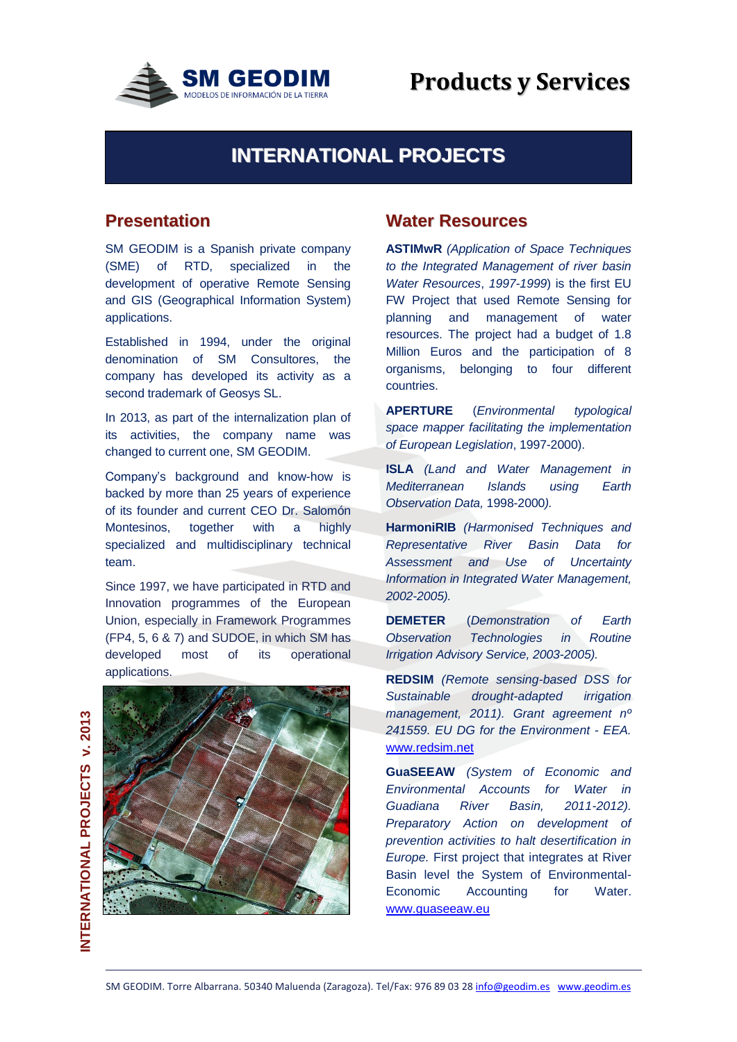

# **INTERNATIONAL PROJECTS**

# **Presentation**

SM GEODIM is a Spanish private company (SME) of RTD, specialized in the development of operative Remote Sensing and GIS (Geographical Information System) applications.

Established in 1994, under the original denomination of SM Consultores, the company has developed its activity as a second trademark of Geosys SL.

In 2013, as part of the internalization plan of its activities, the company name was changed to current one, SM GEODIM.

Company's background and know-how is backed by more than 25 years of experience of its founder and current CEO Dr. Salomón Montesinos, together with a highly specialized and multidisciplinary technical team.

Since 1997, we have participated in RTD and Innovation programmes of the European Union, especially in Framework Programmes (FP4, 5, 6 & 7) and SUDOE, in which SM has developed most of its operational applications.



### **Water Resources**

**ASTIMwR** *(Application of Space Techniques to the Integrated Management of river basin Water Resources*, *1997-1999*) is the first EU FW Project that used Remote Sensing for planning and management of water resources. The project had a budget of 1.8 Million Euros and the participation of 8 organisms, belonging to four different countries.

**APERTURE** (*Environmental typological space mapper facilitating the implementation of European Legislation*, 1997-2000).

**ISLA** *(Land and Water Management in Mediterranean Islands using Earth Observation Data,* 1998-2000*).*

**HarmoniRIB** *(Harmonised Techniques and Representative River Basin Data for Assessment and Use of Uncertainty Information in Integrated Water Management, 2002-2005).*

**DEMETER** (*Demonstration of Earth Observation Technologies in Routine Irrigation Advisory Service, 2003-2005).* 

**REDSIM** *(Remote sensing-based DSS for Sustainable drought-adapted irrigation management, 2011). Grant agreement nº 241559. EU DG for the Environment - EEA.* [www.redsim.net](http://www.redsim.net/)

**GuaSEEAW** *(System of Economic and Environmental Accounts for Water in Guadiana River Basin, 2011-2012). Preparatory Action on development of prevention activities to halt desertification in Europe.* First project that integrates at River Basin level the System of Environmental-Economic Accounting for Water. [www.guaseeaw.eu](http://www.guaseeaw.eu/)